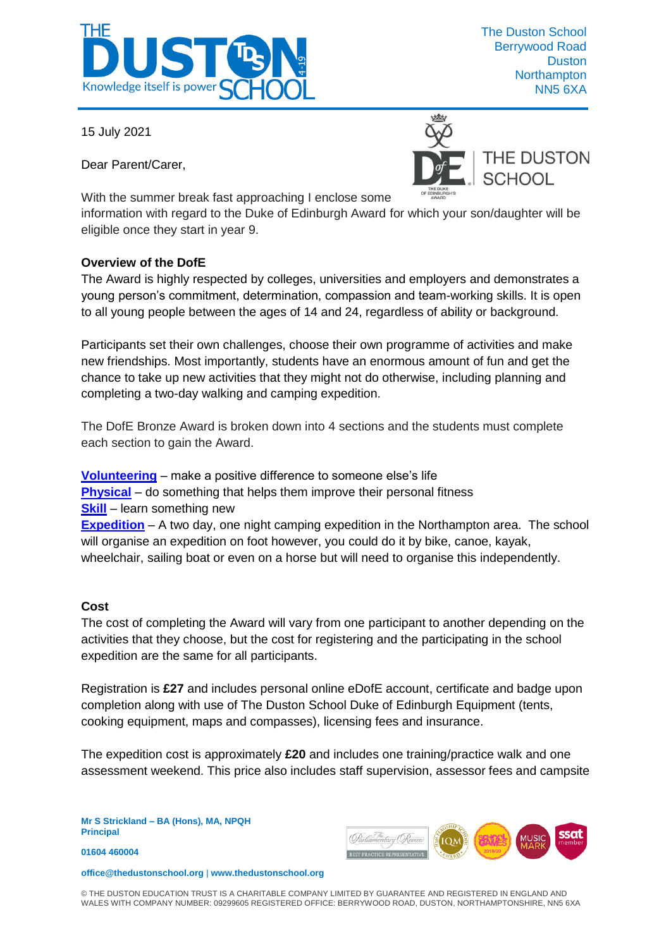

15 July 2021

Dear Parent/Carer,





With the summer break fast approaching I enclose some

information with regard to the Duke of Edinburgh Award for which your son/daughter will be eligible once they start in year 9.

## **Overview of the DofE**

The Award is highly respected by colleges, universities and employers and demonstrates a young person's commitment, determination, compassion and team-working skills. It is open to all young people between the ages of 14 and 24, regardless of ability or background.

Participants set their own challenges, choose their own programme of activities and make new friendships. Most importantly, students have an enormous amount of fun and get the chance to take up new activities that they might not do otherwise, including planning and completing a two-day walking and camping expedition.

The DofE Bronze Award is broken down into 4 sections and the students must complete each section to gain the Award.

**[Volunteering](http://www.notleyhigh.com/community/media/volunteering.pdf)** – make a positive difference to someone else's life **[Physical](http://www.notleyhigh.com/community/media/Physical.pdf)** – do something that helps them improve their personal fitness **[Skill](http://www.notleyhigh.com/community/media/skill.pdf)** – learn something new **[Expedition](http://www.notleyhigh.com/community/media/Expedition.pdf)** – A two day, one night camping expedition in the Northampton area. The school will organise an expedition on foot however, you could do it by bike, canoe, kayak, wheelchair, sailing boat or even on a horse but will need to organise this independently.

## **Cost**

The cost of completing the Award will vary from one participant to another depending on the activities that they choose, but the cost for registering and the participating in the school expedition are the same for all participants.

Registration is **£27** and includes personal online eDofE account, certificate and badge upon completion along with use of The Duston School Duke of Edinburgh Equipment (tents, cooking equipment, maps and compasses), licensing fees and insurance.

The expedition cost is approximately **£20** and includes one training/practice walk and one assessment weekend. This price also includes staff supervision, assessor fees and campsite

**Mr S Strickland – BA (Hons), MA, NPQH Principal**

**01604 460004** 



**office@thedustonschool.org** | **[www.thedustonschool.org](http://www.thedustonschool.org/)**

© THE DUSTON EDUCATION TRUST IS A CHARITABLE COMPANY LIMITED BY GUARANTEE AND REGISTERED IN ENGLAND AND WALES WITH COMPANY NUMBER: 09299605 REGISTERED OFFICE: BERRYWOOD ROAD, DUSTON, NORTHAMPTONSHIRE, NN5 6XA